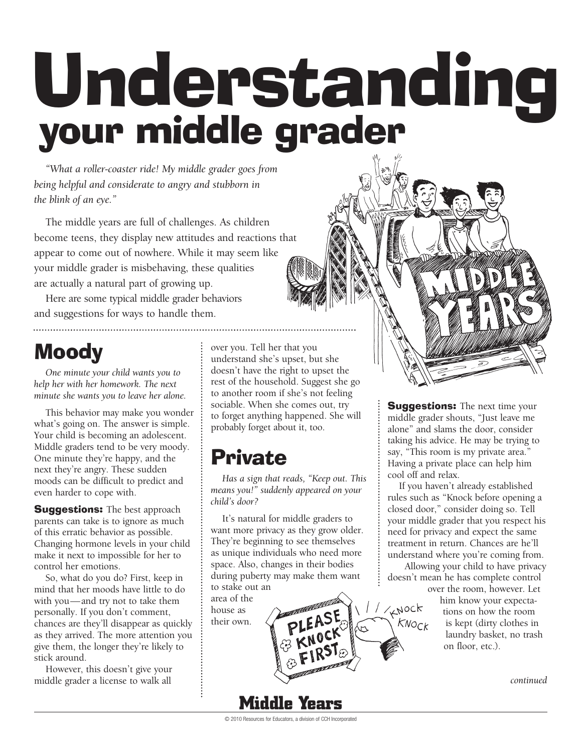# Understanding your middle grader

*"What a roller-coaster ride! My middle grader goes from being helpful and considerate to angry and stubborn in the blink of an eye."*

The middle years are full of challenges. As children become teens, they display new attitudes and reactions that appear to come out of nowhere. While it may seem like your middle grader is misbehaving, these qualities are actually a natural part of growing up.

Here are some typical middle grader behaviors and suggestions for ways to handle them.

# Moody

*One minute your child wants you to help her with her homework. The next minute she wants you to leave her alone.*

This behavior may make you wonder what's going on. The answer is simple. Your child is becoming an adolescent. Middle graders tend to be very moody. One minute they're happy, and the next they're angry. These sudden moods can be difficult to predict and even harder to cope with.

**Suggestions:** The best approach parents can take is to ignore as much of this erratic behavior as possible. Changing hormone levels in your child make it next to impossible for her to control her emotions.

So, what do you do? First, keep in mind that her moods have little to do with you—and try not to take them personally. If you don't comment, chances are they'll disappear as quickly as they arrived. The more attention you give them, the longer they're likely to stick around.

However, this doesn't give your middle grader a license to walk all

over you. Tell her that you understand she's upset, but she doesn't have the right to upset the rest of the household. Suggest she go to another room if she's not feeling sociable. When she comes out, try to forget anything happened. She will probably forget about it, too.

## Private

..............................

*Has a sign that reads, "Keep out. This means you!" suddenly appeared on your child's door?*

It's natural for middle graders to want more privacy as they grow older. They're beginning to see themselves as unique individuals who need more space. Also, changes in their bodies during puberty may make them want to stake out an

area of the house as their own.

**Suggestions:** The next time your middle grader shouts, "Just leave me alone" and slams the door, consider taking his advice. He may be trying to say, "This room is my private area." Having a private place can help him cool off and relax.

If you haven't already established rules such as "Knock before opening a closed door," consider doing so. Tell your middle grader that you respect his need for privacy and expect the same treatment in return. Chances are he'll understand where you're coming from.

 Allowing your child to have privacy doesn't mean he has complete control

 $1/\sqrt{10}$ 

 $KN$ OC $k$ 

over the room, however. Let him know your expectations on how the room is kept (dirty clothes in laundry basket, no trash on floor, etc.).

*continued*

© 2010 Resources for Educators, a division of CCH Incorporated

**Middle Years**